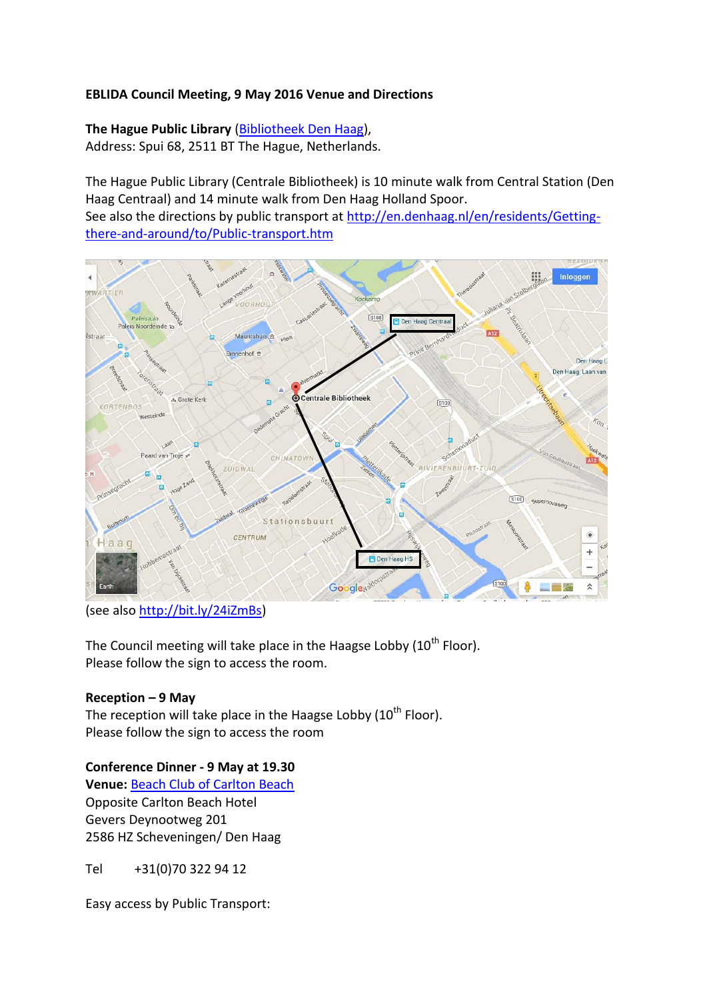## **EBLIDA Council Meeting, 9 May 2016 Venue and Directions**

## **The Hague Public Library** [\(Bibliotheek Den Haag\)](http://www.bibliotheekdenhaag.nl/english.html),

Address: Spui 68, 2511 BT The Hague, Netherlands.

The Hague Public Library (Centrale Bibliotheek) is 10 minute walk from Central Station (Den Haag Centraal) and 14 minute walk from Den Haag Holland Spoor.

See also the directions by public transport at [http://en.denhaag.nl/en/residents/Getting](http://en.denhaag.nl/en/residents/Getting-there-and-around/to/Public-transport.htm)[there-and-around/to/Public-transport.htm](http://en.denhaag.nl/en/residents/Getting-there-and-around/to/Public-transport.htm)



(see also [http://bit.ly/24iZmBs\)](http://bit.ly/24iZmBs)

The Council meeting will take place in the Haagse Lobby  $(10<sup>th</sup>$  Floor). Please follow the sign to access the room.

## **Reception – 9 May**

The reception will take place in the Haagse Lobby  $(10<sup>th</sup>$  Floor). Please follow the sign to access the room

## **Conference Dinner - 9 May at 19.30**

**Venue:** [Beach Club of Carlton Beach](http://www.carltonbeachclub.nl/) Opposite Carlton Beach Hotel Gevers Deynootweg 201 2586 HZ Scheveningen/ Den Haag

Tel +31(0)70 322 94 12

Easy access by Public Transport: